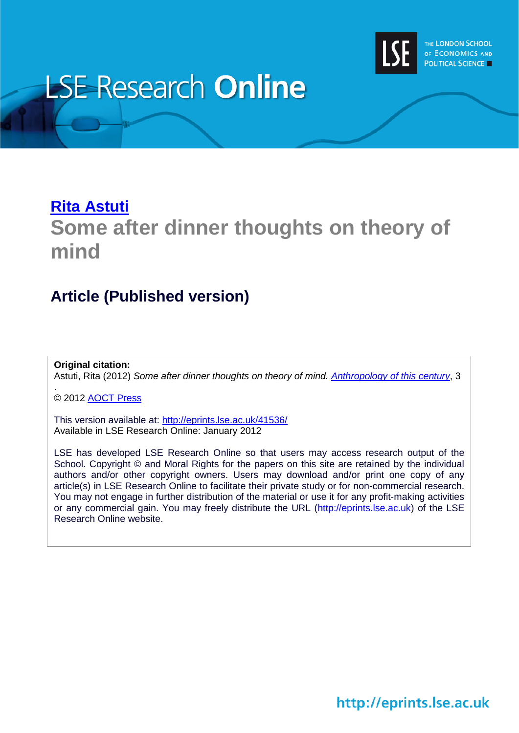

# **LSE Research Online**

# **[Rita Astuti](http://www2.lse.ac.uk/researchAndExpertise/Experts/profile.aspx?KeyValue=r.astuti@lse.ac.uk) Some after dinner thoughts on theory of mind**

## **Article (Published version)**

**Original citation:** Astuti, Rita (2012) *Some after dinner thoughts on theory of mind. [Anthropology of this century](http://aotcpress.com/)*, 3

© 2012 [AOCT Press](http://aotcpress.com/)

.

This version available at:<http://eprints.lse.ac.uk/41536/> Available in LSE Research Online: January 2012

LSE has developed LSE Research Online so that users may access research output of the School. Copyright © and Moral Rights for the papers on this site are retained by the individual authors and/or other copyright owners. Users may download and/or print one copy of any article(s) in LSE Research Online to facilitate their private study or for non-commercial research. You may not engage in further distribution of the material or use it for any profit-making activities or any commercial gain. You may freely distribute the URL (http://eprints.lse.ac.uk) of the LSE Research Online website.

http://eprints.lse.ac.uk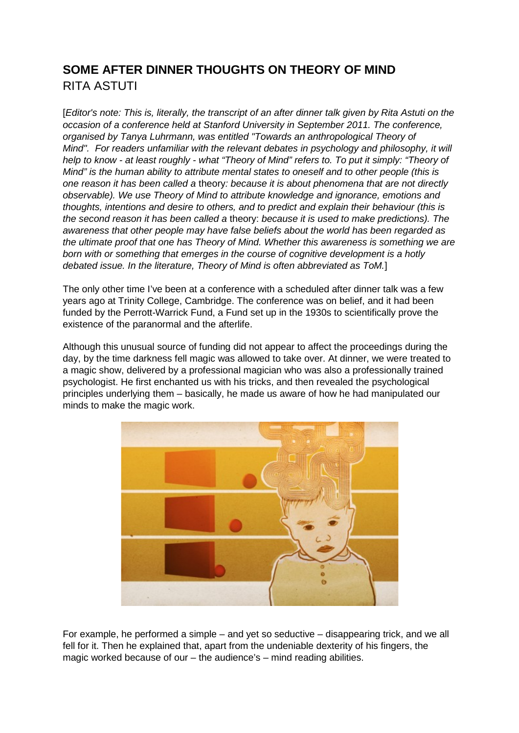## **SOME AFTER DINNER THOUGHTS ON THEORY OF MIND** [RITA ASTUTI](http://aotcpress.com/author/rita-astuti/)

[*Editor's note: This is, literally, the transcript of an after dinner talk given by Rita Astuti on the occasion of a conference held at Stanford University in September 2011. The conference, organised by Tanya Luhrmann, was entitled "Towards an anthropological Theory of Mind". For readers unfamiliar with the relevant debates in psychology and philosophy, it will help to know - at least roughly - what "Theory of Mind" refers to. To put it simply: "Theory of Mind" is the human ability to attribute mental states to oneself and to other people (this is one reason it has been called a* theory*: because it is about phenomena that are not directly observable). We use Theory of Mind to attribute knowledge and ignorance, emotions and thoughts, intentions and desire to others, and to predict and explain their behaviour (this is the second reason it has been called a* theory: *because it is used to make predictions). The awareness that other people may have false beliefs about the world has been regarded as the ultimate proof that one has Theory of Mind. Whether this awareness is something we are born with or something that emerges in the course of cognitive development is a hotly debated issue. In the literature, Theory of Mind is often abbreviated as ToM.*]

The only other time I've been at a conference with a scheduled after dinner talk was a few years ago at Trinity College, Cambridge. The conference was on belief, and it had been funded by the Perrott-Warrick Fund, a Fund set up in the 1930s to scientifically prove the existence of the paranormal and the afterlife.

Although this unusual source of funding did not appear to affect the proceedings during the day, by the time darkness fell magic was allowed to take over. At dinner, we were treated to a magic show, delivered by a professional magician who was also a professionally trained psychologist. He first enchanted us with his tricks, and then revealed the psychological principles underlying them – basically, he made us aware of how he had manipulated our minds to make the magic work.



For example, he performed a simple – and yet so seductive – disappearing trick, and we all fell for it. Then he explained that, apart from the undeniable dexterity of his fingers, the magic worked because of our – the audience's – mind reading abilities.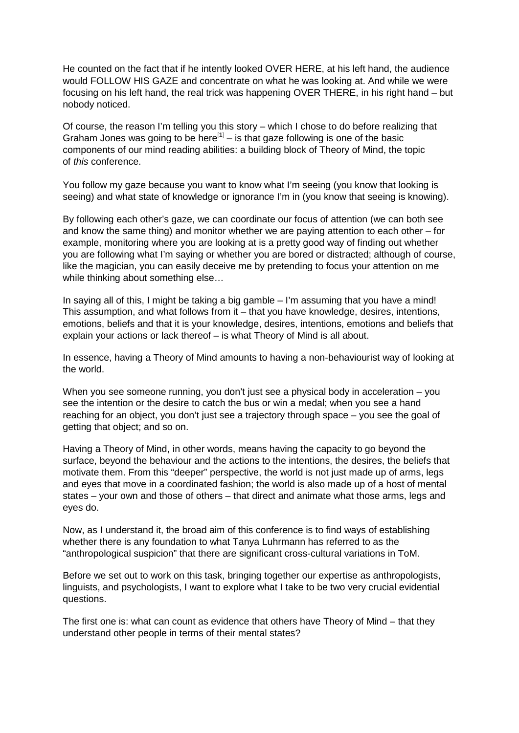He counted on the fact that if he intently looked OVER HERE, at his left hand, the audience would FOLLOW HIS GAZE and concentrate on what he was looking at. And while we were focusing on his left hand, the real trick was happening OVER THERE, in his right hand – but nobody noticed.

Of course, the reason I'm telling you this story – which I chose to do before realizing that Graham Jones was going to be here<sup>[[1](http://aotcpress.com/articles/dinner-thoughts-theory-mind/#dinner-thoughts-theory-mind-n-1)]</sup> – is that gaze following is one of the basic components of our mind reading abilities: a building block of Theory of Mind, the topic of *this* conference.

You follow my gaze because you want to know what I'm seeing (you know that looking is seeing) and what state of knowledge or ignorance I'm in (you know that seeing is knowing).

By following each other's gaze, we can coordinate our focus of attention (we can both see and know the same thing) and monitor whether we are paying attention to each other – for example, monitoring where you are looking at is a pretty good way of finding out whether you are following what I'm saying or whether you are bored or distracted; although of course, like the magician, you can easily deceive me by pretending to focus your attention on me while thinking about something else…

In saying all of this, I might be taking a big gamble – I'm assuming that you have a mind! This assumption, and what follows from it – that you have knowledge, desires, intentions, emotions, beliefs and that it is your knowledge, desires, intentions, emotions and beliefs that explain your actions or lack thereof – is what Theory of Mind is all about.

In essence, having a Theory of Mind amounts to having a non-behaviourist way of looking at the world.

When you see someone running, you don't just see a physical body in acceleration – you see the intention or the desire to catch the bus or win a medal; when you see a hand reaching for an object, you don't just see a trajectory through space – you see the goal of getting that object; and so on.

Having a Theory of Mind, in other words, means having the capacity to go beyond the surface, beyond the behaviour and the actions to the intentions, the desires, the beliefs that motivate them. From this "deeper" perspective, the world is not just made up of arms, legs and eyes that move in a coordinated fashion; the world is also made up of a host of mental states – your own and those of others – that direct and animate what those arms, legs and eyes do.

Now, as I understand it, the broad aim of this conference is to find ways of establishing whether there is any foundation to what Tanya Luhrmann has referred to as the "anthropological suspicion" that there are significant cross-cultural variations in ToM.

Before we set out to work on this task, bringing together our expertise as anthropologists, linguists, and psychologists, I want to explore what I take to be two very crucial evidential questions.

The first one is: what can count as evidence that others have Theory of Mind – that they understand other people in terms of their mental states?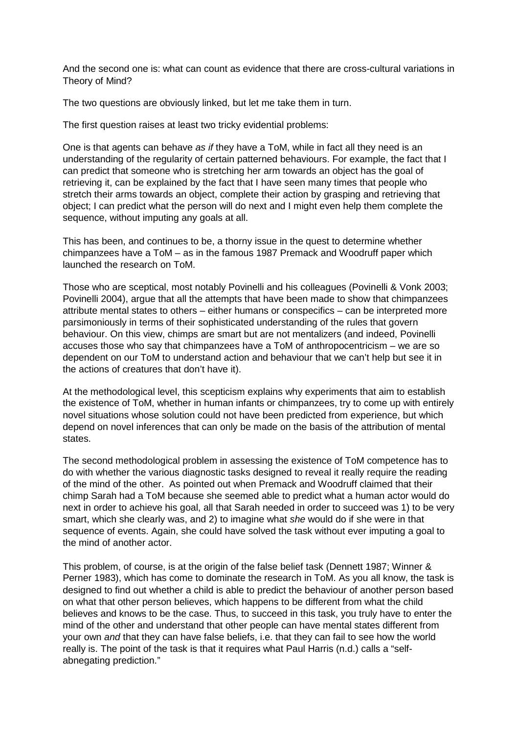And the second one is: what can count as evidence that there are cross-cultural variations in Theory of Mind?

The two questions are obviously linked, but let me take them in turn.

The first question raises at least two tricky evidential problems:

One is that agents can behave *as if* they have a ToM, while in fact all they need is an understanding of the regularity of certain patterned behaviours. For example, the fact that I can predict that someone who is stretching her arm towards an object has the goal of retrieving it, can be explained by the fact that I have seen many times that people who stretch their arms towards an object, complete their action by grasping and retrieving that object; I can predict what the person will do next and I might even help them complete the sequence, without imputing any goals at all.

This has been, and continues to be, a thorny issue in the quest to determine whether chimpanzees have a ToM – as in the famous 1987 Premack and Woodruff paper which launched the research on ToM.

Those who are sceptical, most notably Povinelli and his colleagues (Povinelli & Vonk 2003; Povinelli 2004), argue that all the attempts that have been made to show that chimpanzees attribute mental states to others – either humans or conspecifics – can be interpreted more parsimoniously in terms of their sophisticated understanding of the rules that govern behaviour. On this view, chimps are smart but are not mentalizers (and indeed, Povinelli accuses those who say that chimpanzees have a ToM of anthropocentricism – we are so dependent on our ToM to understand action and behaviour that we can't help but see it in the actions of creatures that don't have it).

At the methodological level, this scepticism explains why experiments that aim to establish the existence of ToM, whether in human infants or chimpanzees, try to come up with entirely novel situations whose solution could not have been predicted from experience, but which depend on novel inferences that can only be made on the basis of the attribution of mental states.

The second methodological problem in assessing the existence of ToM competence has to do with whether the various diagnostic tasks designed to reveal it really require the reading of the mind of the other. As pointed out when Premack and Woodruff claimed that their chimp Sarah had a ToM because she seemed able to predict what a human actor would do next in order to achieve his goal, all that Sarah needed in order to succeed was 1) to be very smart, which she clearly was, and 2) to imagine what *she* would do if she were in that sequence of events. Again, she could have solved the task without ever imputing a goal to the mind of another actor.

This problem, of course, is at the origin of the false belief task (Dennett 1987; Winner & Perner 1983), which has come to dominate the research in ToM. As you all know, the task is designed to find out whether a child is able to predict the behaviour of another person based on what that other person believes, which happens to be different from what the child believes and knows to be the case. Thus, to succeed in this task, you truly have to enter the mind of the other and understand that other people can have mental states different from your own *and* that they can have false beliefs, i.e. that they can fail to see how the world really is. The point of the task is that it requires what Paul Harris (n.d.) calls a "selfabnegating prediction."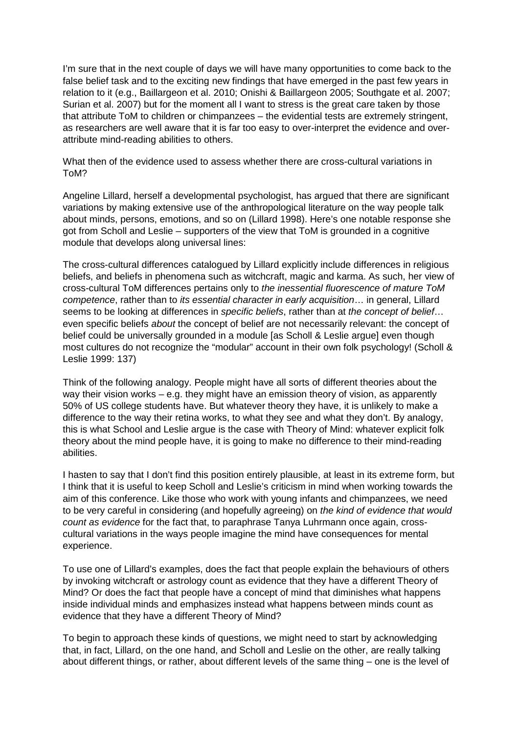I'm sure that in the next couple of days we will have many opportunities to come back to the false belief task and to the exciting new findings that have emerged in the past few years in relation to it (e.g., Baillargeon et al. 2010; Onishi & Baillargeon 2005; Southgate et al. 2007; Surian et al. 2007) but for the moment all I want to stress is the great care taken by those that attribute ToM to children or chimpanzees – the evidential tests are extremely stringent, as researchers are well aware that it is far too easy to over-interpret the evidence and overattribute mind-reading abilities to others.

What then of the evidence used to assess whether there are cross-cultural variations in ToM?

Angeline Lillard, herself a developmental psychologist, has argued that there are significant variations by making extensive use of the anthropological literature on the way people talk about minds, persons, emotions, and so on (Lillard 1998). Here's one notable response she got from Scholl and Leslie – supporters of the view that ToM is grounded in a cognitive module that develops along universal lines:

The cross-cultural differences catalogued by Lillard explicitly include differences in religious beliefs, and beliefs in phenomena such as witchcraft, magic and karma. As such, her view of cross-cultural ToM differences pertains only to *the inessential fluorescence of mature ToM competence*, rather than to *its essential character in early acquisition*… in general, Lillard seems to be looking at differences in *specific beliefs*, rather than at *the concept of belief*… even specific beliefs *about* the concept of belief are not necessarily relevant: the concept of belief could be universally grounded in a module [as Scholl & Leslie argue] even though most cultures do not recognize the "modular" account in their own folk psychology! (Scholl & Leslie 1999: 137)

Think of the following analogy. People might have all sorts of different theories about the way their vision works – e.g. they might have an emission theory of vision, as apparently 50% of US college students have. But whatever theory they have, it is unlikely to make a difference to the way their retina works, to what they see and what they don't. By analogy, this is what School and Leslie argue is the case with Theory of Mind: whatever explicit folk theory about the mind people have, it is going to make no difference to their mind-reading abilities.

I hasten to say that I don't find this position entirely plausible, at least in its extreme form, but I think that it is useful to keep Scholl and Leslie's criticism in mind when working towards the aim of this conference. Like those who work with young infants and chimpanzees, we need to be very careful in considering (and hopefully agreeing) on *the kind of evidence that would count as evidence* for the fact that, to paraphrase Tanya Luhrmann once again, crosscultural variations in the ways people imagine the mind have consequences for mental experience.

To use one of Lillard's examples, does the fact that people explain the behaviours of others by invoking witchcraft or astrology count as evidence that they have a different Theory of Mind? Or does the fact that people have a concept of mind that diminishes what happens inside individual minds and emphasizes instead what happens between minds count as evidence that they have a different Theory of Mind?

To begin to approach these kinds of questions, we might need to start by acknowledging that, in fact, Lillard, on the one hand, and Scholl and Leslie on the other, are really talking about different things, or rather, about different levels of the same thing – one is the level of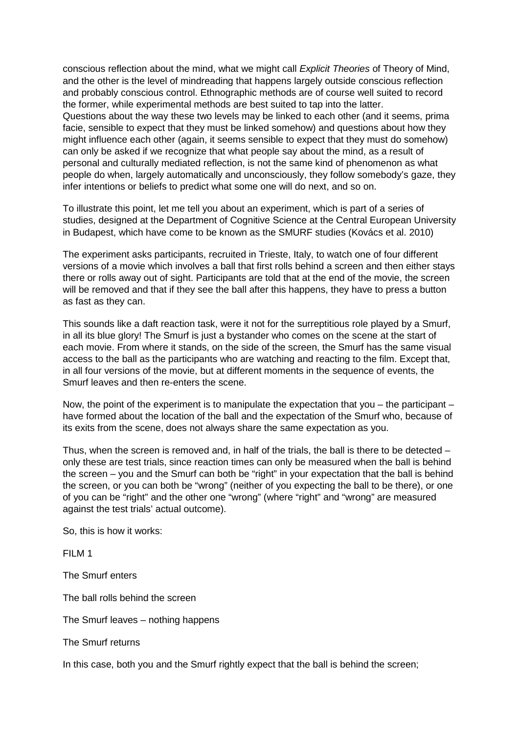conscious reflection about the mind, what we might call *Explicit Theories* of Theory of Mind, and the other is the level of mindreading that happens largely outside conscious reflection and probably conscious control. Ethnographic methods are of course well suited to record the former, while experimental methods are best suited to tap into the latter. Questions about the way these two levels may be linked to each other (and it seems, prima facie, sensible to expect that they must be linked somehow) and questions about how they might influence each other (again, it seems sensible to expect that they must do somehow) can only be asked if we recognize that what people say about the mind, as a result of personal and culturally mediated reflection, is not the same kind of phenomenon as what people do when, largely automatically and unconsciously, they follow somebody's gaze, they infer intentions or beliefs to predict what some one will do next, and so on.

To illustrate this point, let me tell you about an experiment, which is part of a series of studies, designed at the Department of Cognitive Science at the Central European University in Budapest, which have come to be known as the SMURF studies (Kovács et al. 2010)

The experiment asks participants, recruited in Trieste, Italy, to watch one of four different versions of a movie which involves a ball that first rolls behind a screen and then either stays there or rolls away out of sight. Participants are told that at the end of the movie, the screen will be removed and that if they see the ball after this happens, they have to press a button as fast as they can.

This sounds like a daft reaction task, were it not for the surreptitious role played by a Smurf, in all its blue glory! The Smurf is just a bystander who comes on the scene at the start of each movie. From where it stands, on the side of the screen, the Smurf has the same visual access to the ball as the participants who are watching and reacting to the film. Except that, in all four versions of the movie, but at different moments in the sequence of events, the Smurf leaves and then re-enters the scene.

Now, the point of the experiment is to manipulate the expectation that you – the participant – have formed about the location of the ball and the expectation of the Smurf who, because of its exits from the scene, does not always share the same expectation as you.

Thus, when the screen is removed and, in half of the trials, the ball is there to be detected – only these are test trials, since reaction times can only be measured when the ball is behind the screen – you and the Smurf can both be "right" in your expectation that the ball is behind the screen, or you can both be "wrong" (neither of you expecting the ball to be there), or one of you can be "right" and the other one "wrong" (where "right" and "wrong" are measured against the test trials' actual outcome).

So, this is how it works:

FILM 1

The Smurf enters

The ball rolls behind the screen

The Smurf leaves – nothing happens

The Smurf returns

In this case, both you and the Smurf rightly expect that the ball is behind the screen;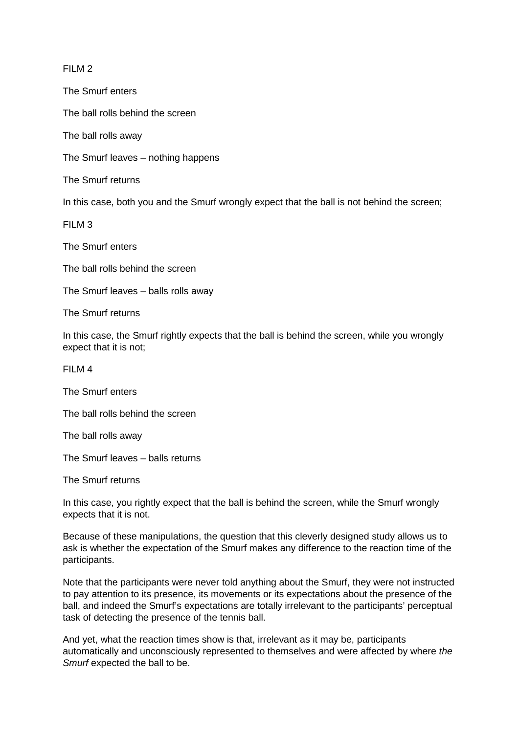#### FILM 2

The Smurf enters

The ball rolls behind the screen

The ball rolls away

The Smurf leaves – nothing happens

The Smurf returns

In this case, both you and the Smurf wrongly expect that the ball is not behind the screen;

FILM 3

The Smurf enters

The ball rolls behind the screen

The Smurf leaves – balls rolls away

The Smurf returns

In this case, the Smurf rightly expects that the ball is behind the screen, while you wrongly expect that it is not;

FILM 4

The Smurf enters

The ball rolls behind the screen

The ball rolls away

The Smurf leaves – balls returns

The Smurf returns

In this case, you rightly expect that the ball is behind the screen, while the Smurf wrongly expects that it is not.

Because of these manipulations, the question that this cleverly designed study allows us to ask is whether the expectation of the Smurf makes any difference to the reaction time of the participants.

Note that the participants were never told anything about the Smurf, they were not instructed to pay attention to its presence, its movements or its expectations about the presence of the ball, and indeed the Smurf's expectations are totally irrelevant to the participants' perceptual task of detecting the presence of the tennis ball.

And yet, what the reaction times show is that, irrelevant as it may be, participants automatically and unconsciously represented to themselves and were affected by where *the Smurf* expected the ball to be.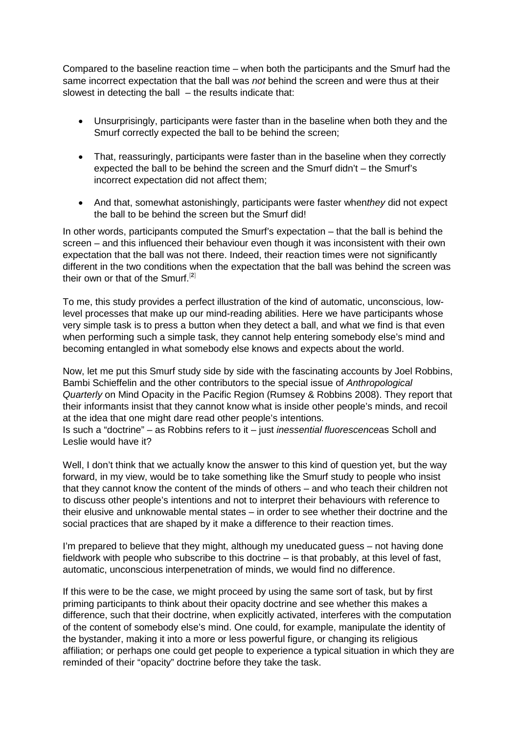Compared to the baseline reaction time – when both the participants and the Smurf had the same incorrect expectation that the ball was *not* behind the screen and were thus at their slowest in detecting the ball – the results indicate that:

- Unsurprisingly, participants were faster than in the baseline when both they and the Smurf correctly expected the ball to be behind the screen;
- That, reassuringly, participants were faster than in the baseline when they correctly expected the ball to be behind the screen and the Smurf didn't – the Smurf's incorrect expectation did not affect them;
- And that, somewhat astonishingly, participants were faster when*they* did not expect the ball to be behind the screen but the Smurf did!

In other words, participants computed the Smurf's expectation – that the ball is behind the screen – and this influenced their behaviour even though it was inconsistent with their own expectation that the ball was not there. Indeed, their reaction times were not significantly different in the two conditions when the expectation that the ball was behind the screen was their own or that of the Smurf.[**[2](http://aotcpress.com/articles/dinner-thoughts-theory-mind/#dinner-thoughts-theory-mind-n-2)**]

To me, this study provides a perfect illustration of the kind of automatic, unconscious, lowlevel processes that make up our mind-reading abilities. Here we have participants whose very simple task is to press a button when they detect a ball, and what we find is that even when performing such a simple task, they cannot help entering somebody else's mind and becoming entangled in what somebody else knows and expects about the world.

Now, let me put this Smurf study side by side with the fascinating accounts by Joel Robbins, Bambi Schieffelin and the other contributors to the special issue of *Anthropological Quarterly* on Mind Opacity in the Pacific Region (Rumsey & Robbins 2008). They report that their informants insist that they cannot know what is inside other people's minds, and recoil at the idea that one might dare read other people's intentions.

Is such a "doctrine" – as Robbins refers to it – just *inessential fluorescence*as Scholl and Leslie would have it?

Well, I don't think that we actually know the answer to this kind of question yet, but the way forward, in my view, would be to take something like the Smurf study to people who insist that they cannot know the content of the minds of others – and who teach their children not to discuss other people's intentions and not to interpret their behaviours with reference to their elusive and unknowable mental states – in order to see whether their doctrine and the social practices that are shaped by it make a difference to their reaction times.

I'm prepared to believe that they might, although my uneducated guess – not having done fieldwork with people who subscribe to this doctrine – is that probably, at this level of fast, automatic, unconscious interpenetration of minds, we would find no difference.

If this were to be the case, we might proceed by using the same sort of task, but by first priming participants to think about their opacity doctrine and see whether this makes a difference, such that their doctrine, when explicitly activated, interferes with the computation of the content of somebody else's mind. One could, for example, manipulate the identity of the bystander, making it into a more or less powerful figure, or changing its religious affiliation; or perhaps one could get people to experience a typical situation in which they are reminded of their "opacity" doctrine before they take the task.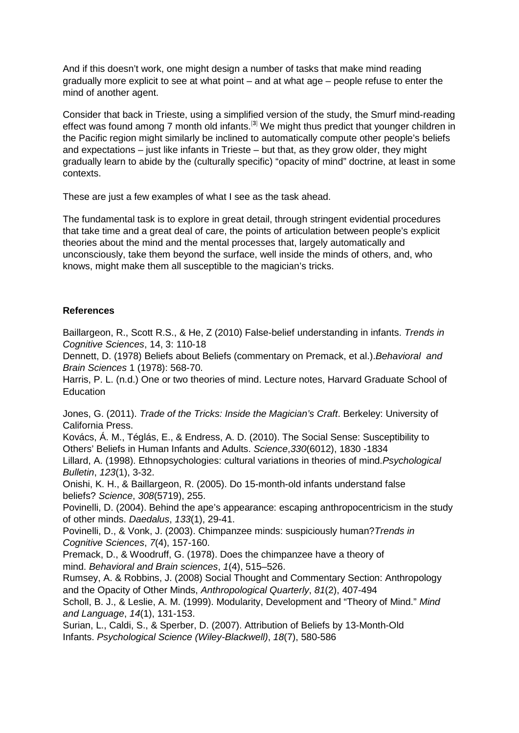And if this doesn't work, one might design a number of tasks that make mind reading gradually more explicit to see at what point – and at what age – people refuse to enter the mind of another agent.

Consider that back in Trieste, using a simplified version of the study, the Smurf mind-reading effect was found among 7 month old infants.<sup>[[3](http://aotcpress.com/articles/dinner-thoughts-theory-mind/#dinner-thoughts-theory-mind-n-3)]</sup> We might thus predict that younger children in the Pacific region might similarly be inclined to automatically compute other people's beliefs and expectations – just like infants in Trieste – but that, as they grow older, they might gradually learn to abide by the (culturally specific) "opacity of mind" doctrine, at least in some contexts.

These are just a few examples of what I see as the task ahead.

The fundamental task is to explore in great detail, through stringent evidential procedures that take time and a great deal of care, the points of articulation between people's explicit theories about the mind and the mental processes that, largely automatically and unconsciously, take them beyond the surface, well inside the minds of others, and, who knows, might make them all susceptible to the magician's tricks.

### **References**

Baillargeon, R., Scott R.S., & He, Z (2010) False-belief understanding in infants. *Trends in Cognitive Sciences*, 14, 3: 110-18

Dennett, D. (1978) Beliefs about Beliefs (commentary on Premack, et al.).*Behavioral and Brain Sciences* 1 (1978): 568-70.

Harris, P. L. (n.d.) One or two theories of mind. Lecture notes, Harvard Graduate School of **Education** 

Jones, G. (2011). *Trade of the Tricks: Inside the Magician's Craft*. Berkeley: University of California Press.

Kovács, Á. M., Téglás, E., & Endress, A. D. (2010). The Social Sense: Susceptibility to Others' Beliefs in Human Infants and Adults. *Science*,*330*(6012), 1830 -1834

Lillard, A. (1998). Ethnopsychologies: cultural variations in theories of mind.*Psychological Bulletin*, *123*(1), 3-32.

Onishi, K. H., & Baillargeon, R. (2005). Do 15-month-old infants understand false beliefs? *Science*, *308*(5719), 255.

Povinelli, D. (2004). Behind the ape's appearance: escaping anthropocentricism in the study of other minds. *Daedalus*, *133*(1), 29-41.

Povinelli, D., & Vonk, J. (2003). Chimpanzee minds: suspiciously human?*Trends in Cognitive Sciences*, *7*(4), 157-160.

Premack, D., & Woodruff, G. (1978). Does the chimpanzee have a theory of mind. *Behavioral and Brain sciences*, *1*(4), 515–526.

Rumsey, A. & Robbins, J. (2008) Social Thought and Commentary Section: Anthropology and the Opacity of Other Minds, *Anthropological Quarterly*, *81*(2), 407-494

Scholl, B. J., & Leslie, A. M. (1999). Modularity, Development and "Theory of Mind." *Mind and Language*, *14*(1), 131-153.

Surian, L., Caldi, S., & Sperber, D. (2007). Attribution of Beliefs by 13-Month-Old Infants. *Psychological Science (Wiley-Blackwell)*, *18*(7), 580-586